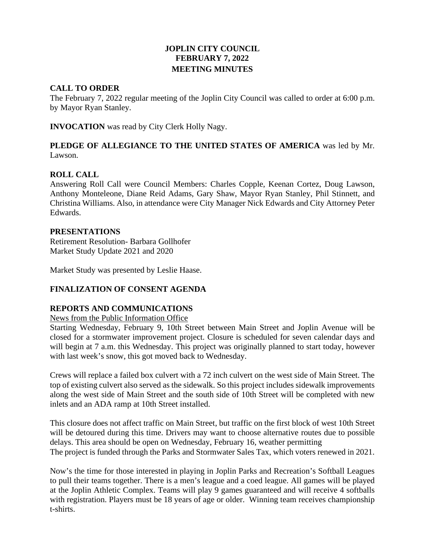## **JOPLIN CITY COUNCIL FEBRUARY 7, 2022 MEETING MINUTES**

## **CALL TO ORDER**

The February 7, 2022 regular meeting of the Joplin City Council was called to order at 6:00 p.m. by Mayor Ryan Stanley.

**INVOCATION** was read by City Clerk Holly Nagy.

## **PLEDGE OF ALLEGIANCE TO THE UNITED STATES OF AMERICA** was led by Mr. Lawson.

### **ROLL CALL**

Answering Roll Call were Council Members: Charles Copple, Keenan Cortez, Doug Lawson, Anthony Monteleone, Diane Reid Adams, Gary Shaw, Mayor Ryan Stanley, Phil Stinnett, and Christina Williams. Also, in attendance were City Manager Nick Edwards and City Attorney Peter Edwards.

#### **PRESENTATIONS**

Retirement Resolution- Barbara Gollhofer Market Study Update 2021 and 2020

Market Study was presented by Leslie Haase.

## **FINALIZATION OF CONSENT AGENDA**

#### **REPORTS AND COMMUNICATIONS**

News from the Public Information Office

Starting Wednesday, February 9, 10th Street between Main Street and Joplin Avenue will be closed for a stormwater improvement project. Closure is scheduled for seven calendar days and will begin at 7 a.m. this Wednesday. This project was originally planned to start today, however with last week's snow, this got moved back to Wednesday.

Crews will replace a failed box culvert with a 72 inch culvert on the west side of Main Street. The top of existing culvert also served as the sidewalk. So this project includes sidewalk improvements along the west side of Main Street and the south side of 10th Street will be completed with new inlets and an ADA ramp at 10th Street installed.

This closure does not affect traffic on Main Street, but traffic on the first block of west 10th Street will be detoured during this time. Drivers may want to choose alternative routes due to possible delays. This area should be open on Wednesday, February 16, weather permitting The project is funded through the Parks and Stormwater Sales Tax, which voters renewed in 2021.

Now's the time for those interested in playing in Joplin Parks and Recreation's Softball Leagues to pull their teams together. There is a men's league and a coed league. All games will be played at the Joplin Athletic Complex. Teams will play 9 games guaranteed and will receive 4 softballs with registration. Players must be 18 years of age or older. Winning team receives championship t-shirts.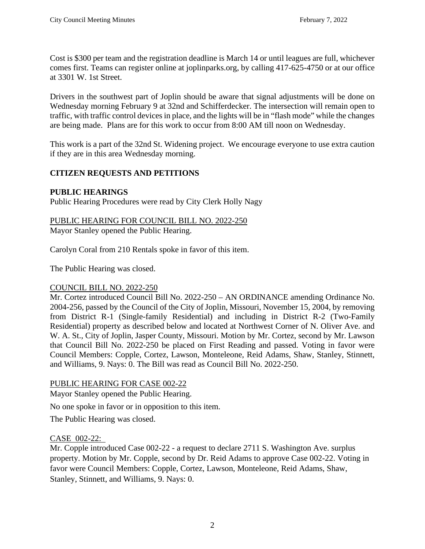Cost is \$300 per team and the registration deadline is March 14 or until leagues are full, whichever comes first. Teams can register online at joplinparks.org, by calling 417-625-4750 or at our office at 3301 W. 1st Street.

Drivers in the southwest part of Joplin should be aware that signal adjustments will be done on Wednesday morning February 9 at 32nd and Schifferdecker. The intersection will remain open to traffic, with traffic control devices in place, and the lights will be in "flash mode" while the changes are being made. Plans are for this work to occur from 8:00 AM till noon on Wednesday.

This work is a part of the 32nd St. Widening project. We encourage everyone to use extra caution if they are in this area Wednesday morning.

# **CITIZEN REQUESTS AND PETITIONS**

# **PUBLIC HEARINGS**

Public Hearing Procedures were read by City Clerk Holly Nagy

### PUBLIC HEARING FOR COUNCIL BILL NO. 2022-250 Mayor Stanley opened the Public Hearing.

Carolyn Coral from 210 Rentals spoke in favor of this item.

The Public Hearing was closed.

# COUNCIL BILL NO. 2022-250

Mr. Cortez introduced Council Bill No. 2022-250 – AN ORDINANCE amending Ordinance No. 2004-256, passed by the Council of the City of Joplin, Missouri, November 15, 2004, by removing from District R-1 (Single-family Residential) and including in District R-2 (Two-Family Residential) property as described below and located at Northwest Corner of N. Oliver Ave. and W. A. St., City of Joplin, Jasper County, Missouri. Motion by Mr. Cortez, second by Mr. Lawson that Council Bill No. 2022-250 be placed on First Reading and passed. Voting in favor were Council Members: Copple, Cortez, Lawson, Monteleone, Reid Adams, Shaw, Stanley, Stinnett, and Williams, 9. Nays: 0. The Bill was read as Council Bill No. 2022-250.

# PUBLIC HEARING FOR CASE 002-22

Mayor Stanley opened the Public Hearing.

No one spoke in favor or in opposition to this item.

The Public Hearing was closed.

# CASE 002-22:

Mr. Copple introduced Case 002-22 - a request to declare 2711 S. Washington Ave. surplus property. Motion by Mr. Copple, second by Dr. Reid Adams to approve Case 002-22. Voting in favor were Council Members: Copple, Cortez, Lawson, Monteleone, Reid Adams, Shaw, Stanley, Stinnett, and Williams, 9. Nays: 0.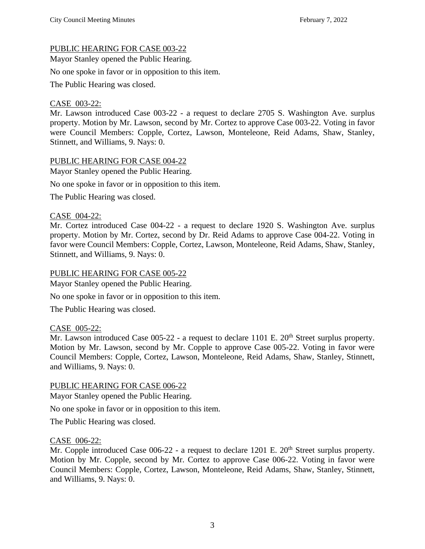## PUBLIC HEARING FOR CASE 003-22

Mayor Stanley opened the Public Hearing.

No one spoke in favor or in opposition to this item.

The Public Hearing was closed.

## CASE 003-22:

Mr. Lawson introduced Case 003-22 - a request to declare 2705 S. Washington Ave. surplus property. Motion by Mr. Lawson, second by Mr. Cortez to approve Case 003-22. Voting in favor were Council Members: Copple, Cortez, Lawson, Monteleone, Reid Adams, Shaw, Stanley, Stinnett, and Williams, 9. Nays: 0.

#### PUBLIC HEARING FOR CASE 004-22

Mayor Stanley opened the Public Hearing.

No one spoke in favor or in opposition to this item.

The Public Hearing was closed.

#### CASE 004-22:

Mr. Cortez introduced Case 004-22 - a request to declare 1920 S. Washington Ave. surplus property. Motion by Mr. Cortez, second by Dr. Reid Adams to approve Case 004-22. Voting in favor were Council Members: Copple, Cortez, Lawson, Monteleone, Reid Adams, Shaw, Stanley, Stinnett, and Williams, 9. Nays: 0.

#### PUBLIC HEARING FOR CASE 005-22

Mayor Stanley opened the Public Hearing.

No one spoke in favor or in opposition to this item.

The Public Hearing was closed.

#### CASE 005-22:

Mr. Lawson introduced Case  $005-22$  - a request to declare 1101 E.  $20<sup>th</sup>$  Street surplus property. Motion by Mr. Lawson, second by Mr. Copple to approve Case 005-22. Voting in favor were Council Members: Copple, Cortez, Lawson, Monteleone, Reid Adams, Shaw, Stanley, Stinnett, and Williams, 9. Nays: 0.

#### PUBLIC HEARING FOR CASE 006-22

Mayor Stanley opened the Public Hearing.

No one spoke in favor or in opposition to this item.

The Public Hearing was closed.

#### CASE 006-22:

Mr. Copple introduced Case  $006-22$  - a request to declare 1201 E.  $20<sup>th</sup>$  Street surplus property. Motion by Mr. Copple, second by Mr. Cortez to approve Case 006-22. Voting in favor were Council Members: Copple, Cortez, Lawson, Monteleone, Reid Adams, Shaw, Stanley, Stinnett, and Williams, 9. Nays: 0.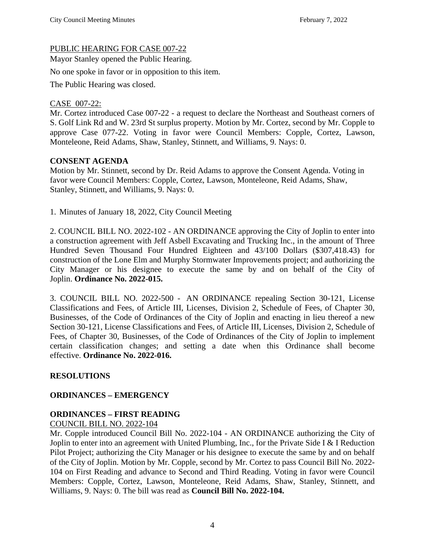## PUBLIC HEARING FOR CASE 007-22

Mayor Stanley opened the Public Hearing.

No one spoke in favor or in opposition to this item.

The Public Hearing was closed.

## CASE 007-22:

Mr. Cortez introduced Case 007-22 - a request to declare the Northeast and Southeast corners of S. Golf Link Rd and W. 23rd St surplus property. Motion by Mr. Cortez, second by Mr. Copple to approve Case 077-22. Voting in favor were Council Members: Copple, Cortez, Lawson, Monteleone, Reid Adams, Shaw, Stanley, Stinnett, and Williams, 9. Nays: 0.

### **CONSENT AGENDA**

Motion by Mr. Stinnett, second by Dr. Reid Adams to approve the Consent Agenda. Voting in favor were Council Members: Copple, Cortez, Lawson, Monteleone, Reid Adams, Shaw, Stanley, Stinnett, and Williams, 9. Nays: 0.

1. Minutes of January 18, 2022, City Council Meeting

2. COUNCIL BILL NO. 2022-102 - AN ORDINANCE approving the City of Joplin to enter into a construction agreement with Jeff Asbell Excavating and Trucking Inc., in the amount of Three Hundred Seven Thousand Four Hundred Eighteen and 43/100 Dollars (\$307,418.43) for construction of the Lone Elm and Murphy Stormwater Improvements project; and authorizing the City Manager or his designee to execute the same by and on behalf of the City of Joplin. **Ordinance No. 2022-015.**

3. COUNCIL BILL NO. 2022-500 - AN ORDINANCE repealing Section 30-121, License Classifications and Fees, of Article III, Licenses, Division 2, Schedule of Fees, of Chapter 30, Businesses, of the Code of Ordinances of the City of Joplin and enacting in lieu thereof a new Section 30-121, License Classifications and Fees, of Article III, Licenses, Division 2, Schedule of Fees, of Chapter 30, Businesses, of the Code of Ordinances of the City of Joplin to implement certain classification changes; and setting a date when this Ordinance shall become effective. **Ordinance No. 2022-016.**

## **RESOLUTIONS**

## **ORDINANCES – EMERGENCY**

## **ORDINANCES – FIRST READING**

COUNCIL BILL NO. 2022-104

Mr. Copple introduced Council Bill No. 2022-104 - AN ORDINANCE authorizing the City of Joplin to enter into an agreement with United Plumbing, Inc., for the Private Side I & I Reduction Pilot Project; authorizing the City Manager or his designee to execute the same by and on behalf of the City of Joplin. Motion by Mr. Copple, second by Mr. Cortez to pass Council Bill No. 2022- 104 on First Reading and advance to Second and Third Reading. Voting in favor were Council Members: Copple, Cortez, Lawson, Monteleone, Reid Adams, Shaw, Stanley, Stinnett, and Williams, 9. Nays: 0. The bill was read as **Council Bill No. 2022-104.**